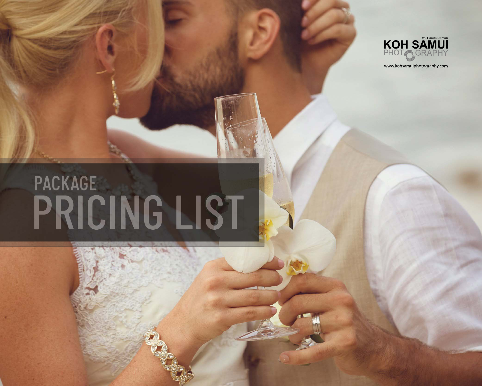

www.kohsamuiphotography.com

# PACKAGE<br>PRICING LIST

**Long**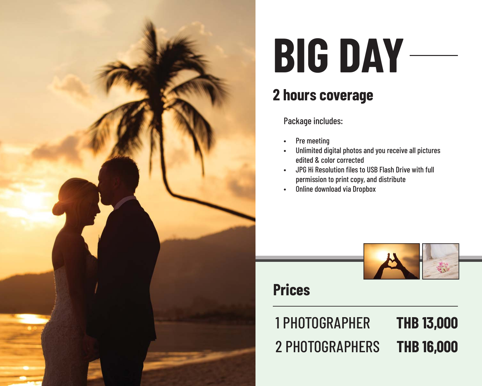

### **2 hours coverage**

Package includes:

- Pre meeting
- Unlimited digital photos and you receive all pictures edited & color corrected
- JPG Hi Resolution files to USB Flash Drive with full permission to print copy, and distribute
- Online download via Dropbox



### **Prices**

#### 1 PHOTOGRAPHER **THB 13,000** 2 PHOTOGRAPHERS**THB 16,000**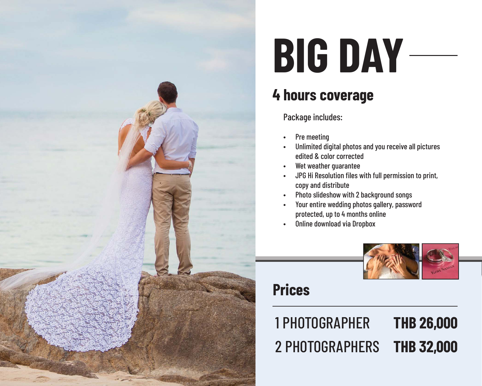

### **4 hours coverage**

Package includes:

- Pre meeting
- Unlimited digital photos and you receive all pictures edited & color corrected
- Wet weather quarantee
- JPG Hi Resolution fi les with full permission to print, copy and distribute
- Photo slideshow with 2 background songs
- Your entire wedding photos gallery, password protected, up to 4 months online
- Online download via Dropbox



### **Prices**

#### 1 PHOTOGRAPHER **THB 26,000** 2 PHOTOGRAPHERS**THB 32,000**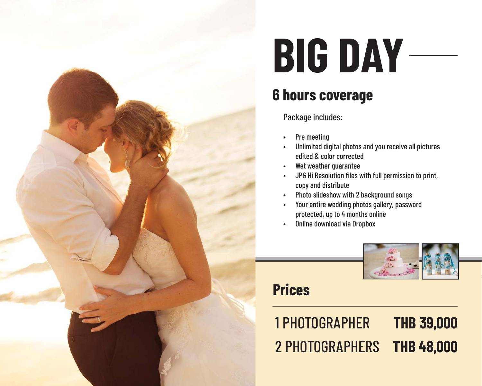

### **6 hours coverage**

Package includes:

- Pre meeting
- Unlimited digital photos and you receive all pictures edited & color corrected
- Wet weather guarantee
- JPG Hi Resolution fi les with full permission to print, copy and distribute
- Photo slideshow with 2 background songs
- Your entire wedding photos gallery, password protected, up to 4 months online
- Online download via Dropbox



### **Prices**

1 PHOTOGRAPHER **THB 39,000** 2 PHOTOGRAPHERS**THB 48,000**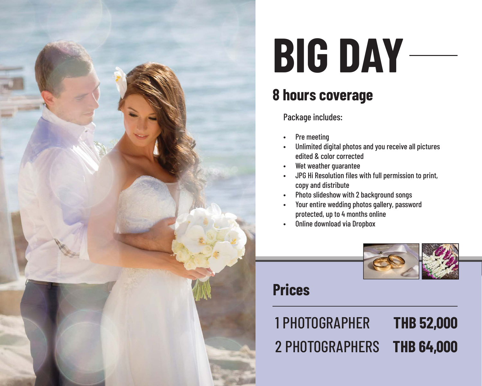

### **8 hours coverage**

Package includes:

- Pre meeting
- Unlimited digital photos and you receive all pictures edited & color corrected
- Wet weather quarantee
- JPG Hi Resolution fi les with full permission to print, copy and distribute
- Photo slideshow with 2 background songs
- Your entire wedding photos gallery, password protected, up to 4 months online
- Online download via Dropbox



### **Prices**

#### 1 PHOTOGRAPHER **THB 52,000** 2 PHOTOGRAPHERS**THB 64,000**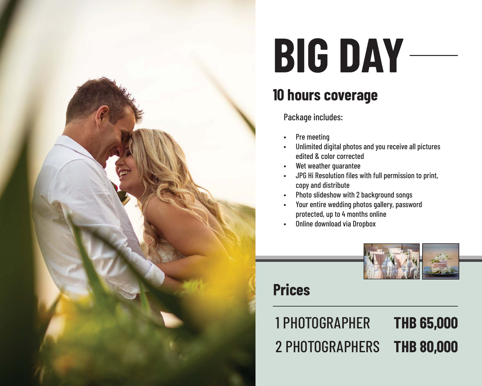

### **10 hours coverage**

Package includes:

- Pre meeting
- Unlimited digital photos and you receive all pictures edited & color corrected
- Wet weather quarantee
- JPG Hi Resolution fi les with full permission to print, copy and distribute
- Photo slideshow with 2 background songs
- Your entire wedding photos gallery, password protected, up to 4 months online
- Online download via Dropbox



### **Prices**

#### 1 PHOTOGRAPHER **THB 65,000** 2 PHOTOGRAPHERS**THB 80,000**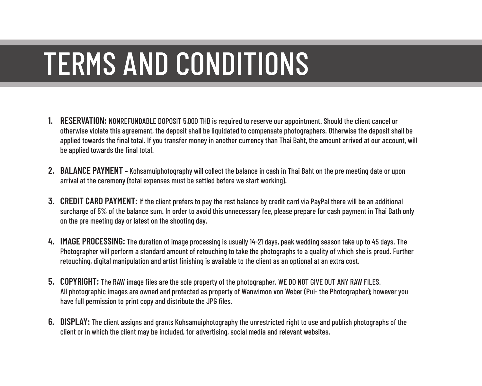### TERMS AND CONDITIONS

- **1. RESERVATION:** NONREFUNDABLE DOPOSIT 5,000 THB is required to reserve our appointment. Should the client cancel or otherwise violate this agreement, the deposit shall be liquidated to compensate photographers. Otherwise the deposit shall be applied towards the final total. If you transfer money in another currency than Thai Baht, the amount arrived at our account, will be applied towards the final total.
- **2. BALANCE PAYMENT**  Kohsamuiphotography will collect the balance in cash in Thai Baht on the pre meeting date or upon arrival at the ceremony (total expenses must be settled before we start working).
- **3. CREDIT CARD PAYMENT:** If the client prefers to pay the rest balance by credit card via PayPal there will be an additional surcharge of 5% of the balance sum. In order to avoid this unnecessary fee, please prepare for cash payment in Thai Bath only on the pre meeting day or latest on the shooting day.
- **4. IMAGE PROCESSING:** The duration of image processing is usually 14-21 days, peak wedding season take up to 45 days. The Photographer will perform a standard amount of retouching to take the photographs to a quality of which she is proud. Further retouching, digital manipulation and artist finishing is available to the client as an optional at an extra cost.
- **5. COPYRIGHT:** The RAW image files are the sole property of the photographer. WE DO NOT GIVE OUT ANY RAW FILES. All photographic images are owned and protected as property of Wanwimon von Weber (Pui- the Photographer); however you have full permission to print copy and distribute the JPG files.
- **6. DISPLAY:** The client assigns and grants Kohsamuiphotography the unrestricted right to use and publish photographs of the client or in which the client may be included, for advertising, social media and relevant websites.